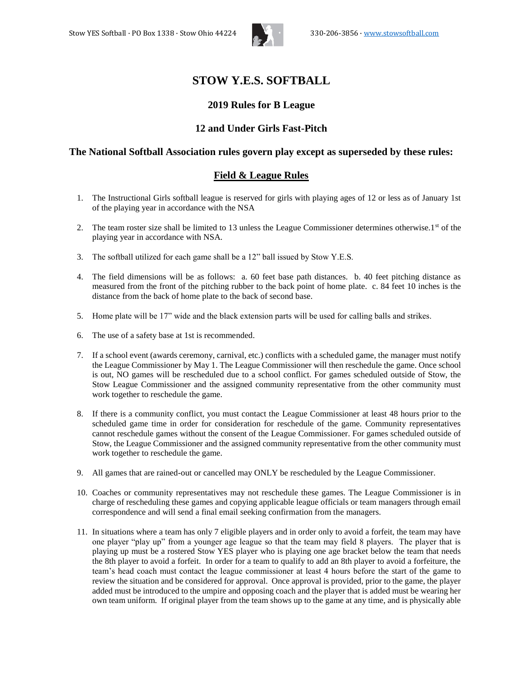

# **STOW Y.E.S. SOFTBALL**

#### **2019 Rules for B League**

# **12 and Under Girls Fast-Pitch**

#### **The National Softball Association rules govern play except as superseded by these rules:**

# **Field & League Rules**

- 1. The Instructional Girls softball league is reserved for girls with playing ages of 12 or less as of January 1st of the playing year in accordance with the NSA
- 2. The team roster size shall be limited to 13 unless the League Commissioner determines otherwise.1st of the playing year in accordance with NSA.
- 3. The softball utilized for each game shall be a 12" ball issued by Stow Y.E.S.
- 4. The field dimensions will be as follows: a. 60 feet base path distances. b. 40 feet pitching distance as measured from the front of the pitching rubber to the back point of home plate. c. 84 feet 10 inches is the distance from the back of home plate to the back of second base.
- 5. Home plate will be 17" wide and the black extension parts will be used for calling balls and strikes.
- 6. The use of a safety base at 1st is recommended.
- 7. If a school event (awards ceremony, carnival, etc.) conflicts with a scheduled game, the manager must notify the League Commissioner by May 1. The League Commissioner will then reschedule the game. Once school is out, NO games will be rescheduled due to a school conflict. For games scheduled outside of Stow, the Stow League Commissioner and the assigned community representative from the other community must work together to reschedule the game.
- 8. If there is a community conflict, you must contact the League Commissioner at least 48 hours prior to the scheduled game time in order for consideration for reschedule of the game. Community representatives cannot reschedule games without the consent of the League Commissioner. For games scheduled outside of Stow, the League Commissioner and the assigned community representative from the other community must work together to reschedule the game.
- 9. All games that are rained-out or cancelled may ONLY be rescheduled by the League Commissioner.
- 10. Coaches or community representatives may not reschedule these games. The League Commissioner is in charge of rescheduling these games and copying applicable league officials or team managers through email correspondence and will send a final email seeking confirmation from the managers.
- 11. In situations where a team has only 7 eligible players and in order only to avoid a forfeit, the team may have one player "play up" from a younger age league so that the team may field 8 players. The player that is playing up must be a rostered Stow YES player who is playing one age bracket below the team that needs the 8th player to avoid a forfeit. In order for a team to qualify to add an 8th player to avoid a forfeiture, the team's head coach must contact the league commissioner at least 4 hours before the start of the game to review the situation and be considered for approval. Once approval is provided, prior to the game, the player added must be introduced to the umpire and opposing coach and the player that is added must be wearing her own team uniform. If original player from the team shows up to the game at any time, and is physically able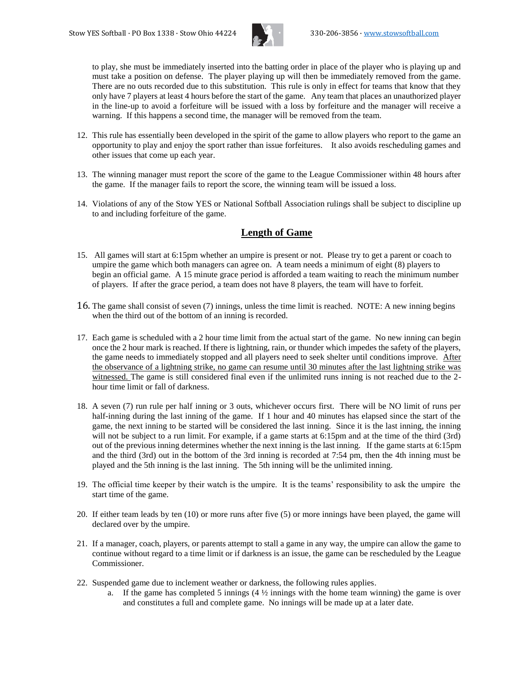

to play, she must be immediately inserted into the batting order in place of the player who is playing up and must take a position on defense. The player playing up will then be immediately removed from the game. There are no outs recorded due to this substitution. This rule is only in effect for teams that know that they only have 7 players at least 4 hours before the start of the game. Any team that places an unauthorized player in the line-up to avoid a forfeiture will be issued with a loss by forfeiture and the manager will receive a warning. If this happens a second time, the manager will be removed from the team.

- 12. This rule has essentially been developed in the spirit of the game to allow players who report to the game an opportunity to play and enjoy the sport rather than issue forfeitures. It also avoids rescheduling games and other issues that come up each year.
- 13. The winning manager must report the score of the game to the League Commissioner within 48 hours after the game. If the manager fails to report the score, the winning team will be issued a loss.
- 14. Violations of any of the Stow YES or National Softball Association rulings shall be subject to discipline up to and including forfeiture of the game.

# **Length of Game**

- 15. All games will start at 6:15pm whether an umpire is present or not. Please try to get a parent or coach to umpire the game which both managers can agree on. A team needs a minimum of eight (8) players to begin an official game. A 15 minute grace period is afforded a team waiting to reach the minimum number of players. If after the grace period, a team does not have 8 players, the team will have to forfeit.
- 16. The game shall consist of seven (7) innings, unless the time limit is reached. NOTE: A new inning begins when the third out of the bottom of an inning is recorded.
- 17. Each game is scheduled with a 2 hour time limit from the actual start of the game. No new inning can begin once the 2 hour mark is reached. If there is lightning, rain, or thunder which impedes the safety of the players, the game needs to immediately stopped and all players need to seek shelter until conditions improve. After the observance of a lightning strike, no game can resume until 30 minutes after the last lightning strike was witnessed. The game is still considered final even if the unlimited runs inning is not reached due to the 2 hour time limit or fall of darkness.
- 18. A seven (7) run rule per half inning or 3 outs, whichever occurs first. There will be NO limit of runs per half-inning during the last inning of the game. If 1 hour and 40 minutes has elapsed since the start of the game, the next inning to be started will be considered the last inning. Since it is the last inning, the inning will not be subject to a run limit. For example, if a game starts at 6:15pm and at the time of the third (3rd) out of the previous inning determines whether the next inning is the last inning. If the game starts at 6:15pm and the third (3rd) out in the bottom of the 3rd inning is recorded at 7:54 pm, then the 4th inning must be played and the 5th inning is the last inning. The 5th inning will be the unlimited inning.
- 19. The official time keeper by their watch is the umpire. It is the teams' responsibility to ask the umpire the start time of the game.
- 20. If either team leads by ten (10) or more runs after five (5) or more innings have been played, the game will declared over by the umpire.
- 21. If a manager, coach, players, or parents attempt to stall a game in any way, the umpire can allow the game to continue without regard to a time limit or if darkness is an issue, the game can be rescheduled by the League Commissioner.
- 22. Suspended game due to inclement weather or darkness, the following rules applies.
	- a. If the game has completed 5 innings  $(4 \frac{1}{2})$  innings with the home team winning) the game is over and constitutes a full and complete game. No innings will be made up at a later date.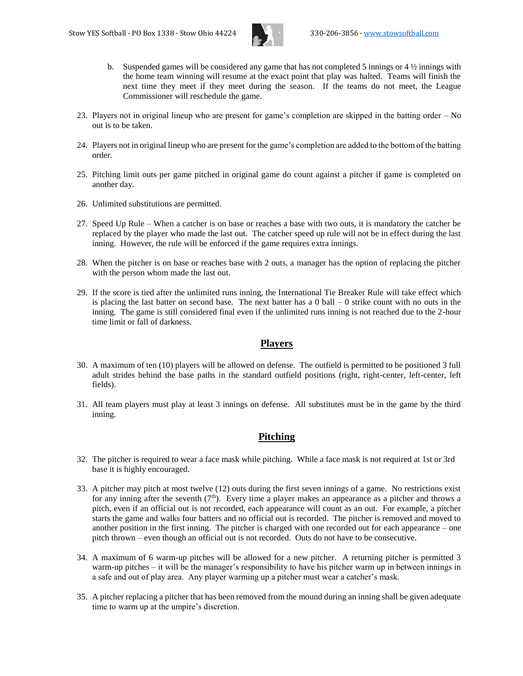

- b. Suspended games will be considered any game that has not completed 5 innings or  $4\frac{1}{2}$  innings with the home team winning will resume at the exact point that play was halted. Teams will finish the next time they meet if they meet during the season. If the teams do not meet, the League Commissioner will reschedule the game.
- 23. Players not in original lineup who are present for game's completion are skipped in the batting order No out is to be taken.
- 24. Players not in original lineup who are present for the game's completion are added to the bottom of the batting order.
- 25. Pitching limit outs per game pitched in original game do count against a pitcher if game is completed on another day.
- 26. Unlimited substitutions are permitted.
- 27. Speed Up Rule When a catcher is on base or reaches a base with two outs, it is mandatory the catcher be replaced by the player who made the last out. The catcher speed up rule will not be in effect during the last inning. However, the rule will be enforced if the game requires extra innings.
- 28. When the pitcher is on base or reaches base with 2 outs, a manager has the option of replacing the pitcher with the person whom made the last out.
- 29. If the score is tied after the unlimited runs inning, the International Tie Breaker Rule will take effect which is placing the last batter on second base. The next batter has a  $0$  ball  $-0$  strike count with no outs in the inning. The game is still considered final even if the unlimited runs inning is not reached due to the 2-hour time limit or fall of darkness.

#### **Players**

- 30. A maximum of ten (10) players will be allowed on defense. The outfield is permitted to be positioned 3 full adult strides behind the base paths in the standard outfield positions (right, right-center, left-center, left fields).
- 31. All team players must play at least 3 innings on defense. All substitutes must be in the game by the third inning.

# **Pitching**

- 32. The pitcher is required to wear a face mask while pitching. While a face mask is not required at 1st or 3rd base it is highly encouraged.
- 33. A pitcher may pitch at most twelve (12) outs during the first seven innings of a game. No restrictions exist for any inning after the seventh  $(7<sup>th</sup>)$ . Every time a player makes an appearance as a pitcher and throws a pitch, even if an official out is not recorded, each appearance will count as an out. For example, a pitcher starts the game and walks four batters and no official out is recorded. The pitcher is removed and moved to another position in the first inning. The pitcher is charged with one recorded out for each appearance – one pitch thrown – even though an official out is not recorded. Outs do not have to be consecutive.
- 34. A maximum of 6 warm-up pitches will be allowed for a new pitcher. A returning pitcher is permitted 3 warm-up pitches – it will be the manager's responsibility to have his pitcher warm up in between innings in a safe and out of play area. Any player warming up a pitcher must wear a catcher's mask.
- 35. A pitcher replacing a pitcher that has been removed from the mound during an inning shall be given adequate time to warm up at the umpire's discretion.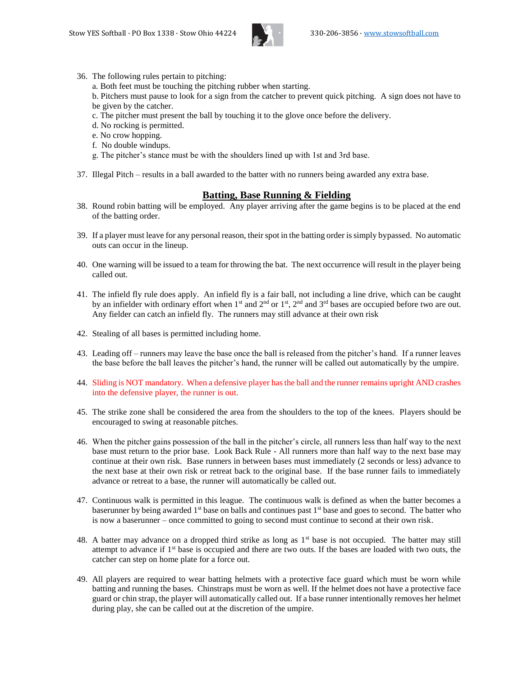

36. The following rules pertain to pitching:

a. Both feet must be touching the pitching rubber when starting.

b. Pitchers must pause to look for a sign from the catcher to prevent quick pitching. A sign does not have to be given by the catcher.

- c. The pitcher must present the ball by touching it to the glove once before the delivery.
- d. No rocking is permitted.
- e. No crow hopping.
- f. No double windups.
- g. The pitcher's stance must be with the shoulders lined up with 1st and 3rd base.
- 37. Illegal Pitch results in a ball awarded to the batter with no runners being awarded any extra base.

#### **Batting, Base Running & Fielding**

- 38. Round robin batting will be employed. Any player arriving after the game begins is to be placed at the end of the batting order.
- 39. If a player must leave for any personal reason, their spot in the batting order is simply bypassed. No automatic outs can occur in the lineup.
- 40. One warning will be issued to a team for throwing the bat. The next occurrence will result in the player being called out.
- 41. The infield fly rule does apply. An infield fly is a fair ball, not including a line drive, which can be caught by an infielder with ordinary effort when 1<sup>st</sup> and  $2<sup>nd</sup>$  or 1<sup>st</sup>,  $2<sup>nd</sup>$  and  $3<sup>rd</sup>$  bases are occupied before two are out. Any fielder can catch an infield fly. The runners may still advance at their own risk
- 42. Stealing of all bases is permitted including home.
- 43. Leading off runners may leave the base once the ball is released from the pitcher's hand. If a runner leaves the base before the ball leaves the pitcher's hand, the runner will be called out automatically by the umpire.
- 44. Sliding is NOT mandatory. When a defensive player has the ball and the runner remains upright AND crashes into the defensive player, the runner is out.
- 45. The strike zone shall be considered the area from the shoulders to the top of the knees. Players should be encouraged to swing at reasonable pitches.
- 46. When the pitcher gains possession of the ball in the pitcher's circle, all runners less than half way to the next base must return to the prior base. Look Back Rule - All runners more than half way to the next base may continue at their own risk. Base runners in between bases must immediately (2 seconds or less) advance to the next base at their own risk or retreat back to the original base. If the base runner fails to immediately advance or retreat to a base, the runner will automatically be called out.
- 47. Continuous walk is permitted in this league. The continuous walk is defined as when the batter becomes a baserunner by being awarded 1<sup>st</sup> base on balls and continues past 1<sup>st</sup> base and goes to second. The batter who is now a baserunner – once committed to going to second must continue to second at their own risk.
- 48. A batter may advance on a dropped third strike as long as 1<sup>st</sup> base is not occupied. The batter may still attempt to advance if 1<sup>st</sup> base is occupied and there are two outs. If the bases are loaded with two outs, the catcher can step on home plate for a force out.
- 49. All players are required to wear batting helmets with a protective face guard which must be worn while batting and running the bases. Chinstraps must be worn as well. If the helmet does not have a protective face guard or chin strap, the player will automatically called out. If a base runner intentionally removes her helmet during play, she can be called out at the discretion of the umpire.